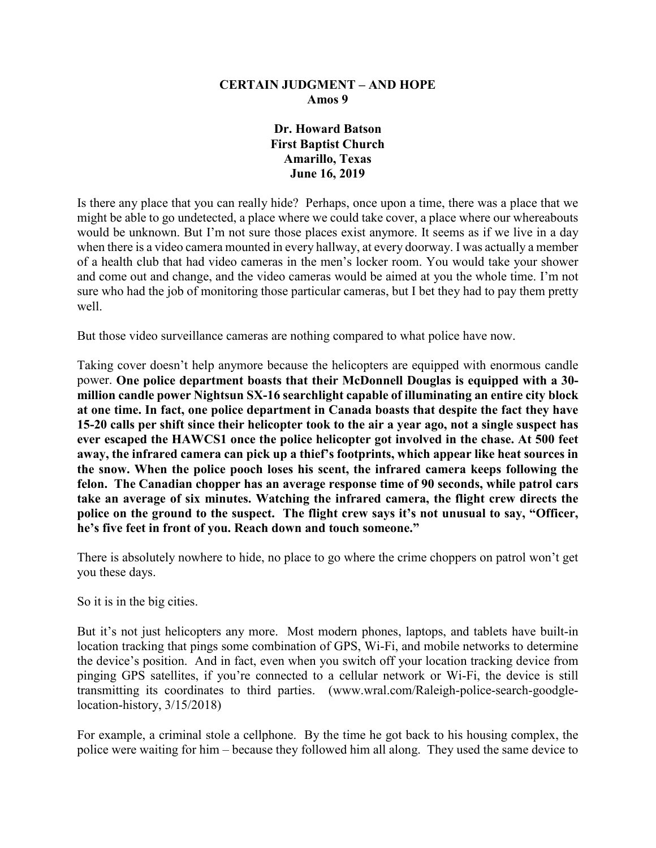#### **CERTAIN JUDGMENT – AND HOPE Amos 9**

### **Dr. Howard Batson First Baptist Church Amarillo, Texas June 16, 2019**

Is there any place that you can really hide? Perhaps, once upon a time, there was a place that we might be able to go undetected, a place where we could take cover, a place where our whereabouts would be unknown. But I'm not sure those places exist anymore. It seems as if we live in a day when there is a video camera mounted in every hallway, at every doorway. I was actually a member of a health club that had video cameras in the men's locker room. You would take your shower and come out and change, and the video cameras would be aimed at you the whole time. I'm not sure who had the job of monitoring those particular cameras, but I bet they had to pay them pretty well.

But those video surveillance cameras are nothing compared to what police have now.

Taking cover doesn't help anymore because the helicopters are equipped with enormous candle power. **One police department boasts that their McDonnell Douglas is equipped with a 30 million candle power Nightsun SX-16 searchlight capable of illuminating an entire city block at one time. In fact, one police department in Canada boasts that despite the fact they have 15-20 calls per shift since their helicopter took to the air a year ago, not a single suspect has ever escaped the HAWCS1 once the police helicopter got involved in the chase. At 500 feet away, the infrared camera can pick up a thief's footprints, which appear like heat sources in the snow. When the police pooch loses his scent, the infrared camera keeps following the felon. The Canadian chopper has an average response time of 90 seconds, while patrol cars take an average of six minutes. Watching the infrared camera, the flight crew directs the police on the ground to the suspect. The flight crew says it's not unusual to say, "Officer, he's five feet in front of you. Reach down and touch someone."**

There is absolutely nowhere to hide, no place to go where the crime choppers on patrol won't get you these days.

So it is in the big cities.

But it's not just helicopters any more. Most modern phones, laptops, and tablets have built-in location tracking that pings some combination of GPS, Wi-Fi, and mobile networks to determine the device's position. And in fact, even when you switch off your location tracking device from pinging GPS satellites, if you're connected to a cellular network or Wi-Fi, the device is still transmitting its coordinates to third parties. (www.wral.com/Raleigh-police-search-goodglelocation-history, 3/15/2018)

For example, a criminal stole a cellphone. By the time he got back to his housing complex, the police were waiting for him – because they followed him all along. They used the same device to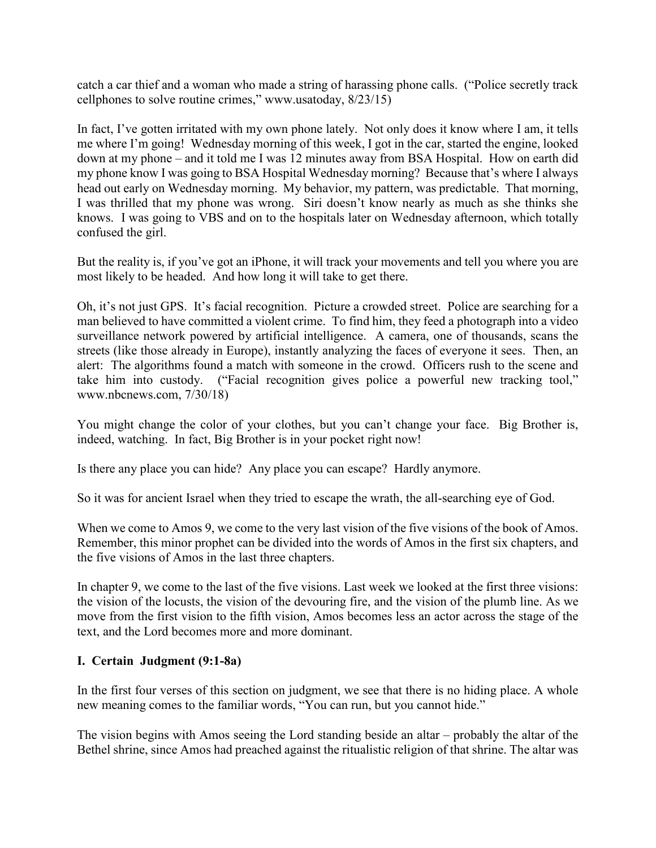catch a car thief and a woman who made a string of harassing phone calls. ("Police secretly track cellphones to solve routine crimes," www.usatoday, 8/23/15)

In fact, I've gotten irritated with my own phone lately. Not only does it know where I am, it tells me where I'm going! Wednesday morning of this week, I got in the car, started the engine, looked down at my phone – and it told me I was 12 minutes away from BSA Hospital. How on earth did my phone know I was going to BSA Hospital Wednesday morning? Because that's where I always head out early on Wednesday morning. My behavior, my pattern, was predictable. That morning, I was thrilled that my phone was wrong. Siri doesn't know nearly as much as she thinks she knows. I was going to VBS and on to the hospitals later on Wednesday afternoon, which totally confused the girl.

But the reality is, if you've got an iPhone, it will track your movements and tell you where you are most likely to be headed. And how long it will take to get there.

Oh, it's not just GPS. It's facial recognition. Picture a crowded street. Police are searching for a man believed to have committed a violent crime. To find him, they feed a photograph into a video surveillance network powered by artificial intelligence. A camera, one of thousands, scans the streets (like those already in Europe), instantly analyzing the faces of everyone it sees. Then, an alert: The algorithms found a match with someone in the crowd. Officers rush to the scene and take him into custody. ("Facial recognition gives police a powerful new tracking tool," www.nbcnews.com, 7/30/18)

You might change the color of your clothes, but you can't change your face. Big Brother is, indeed, watching. In fact, Big Brother is in your pocket right now!

Is there any place you can hide? Any place you can escape? Hardly anymore.

So it was for ancient Israel when they tried to escape the wrath, the all-searching eye of God.

When we come to Amos 9, we come to the very last vision of the five visions of the book of Amos. Remember, this minor prophet can be divided into the words of Amos in the first six chapters, and the five visions of Amos in the last three chapters.

In chapter 9, we come to the last of the five visions. Last week we looked at the first three visions: the vision of the locusts, the vision of the devouring fire, and the vision of the plumb line. As we move from the first vision to the fifth vision, Amos becomes less an actor across the stage of the text, and the Lord becomes more and more dominant.

## **I. Certain Judgment (9:1-8a)**

In the first four verses of this section on judgment, we see that there is no hiding place. A whole new meaning comes to the familiar words, "You can run, but you cannot hide."

The vision begins with Amos seeing the Lord standing beside an altar – probably the altar of the Bethel shrine, since Amos had preached against the ritualistic religion of that shrine. The altar was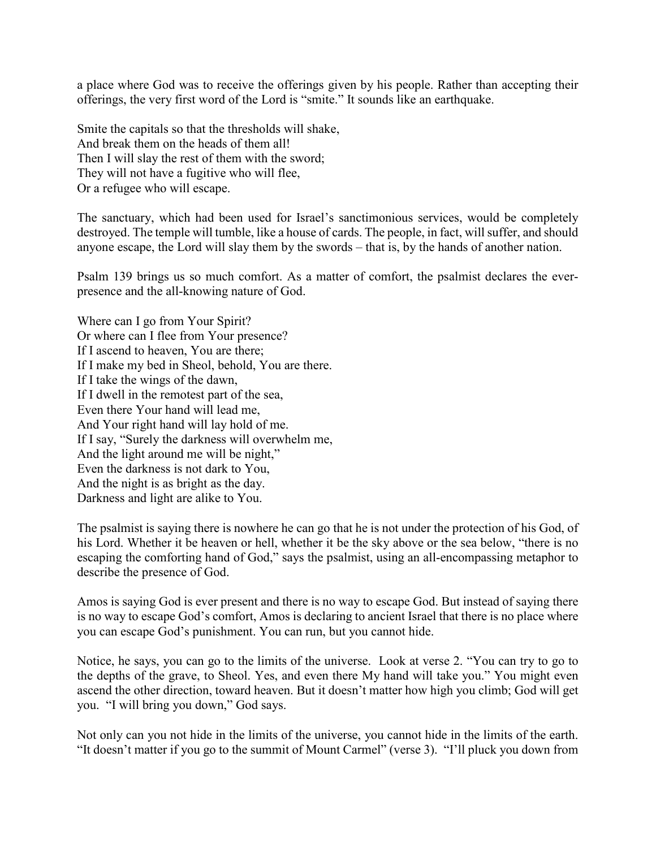a place where God was to receive the offerings given by his people. Rather than accepting their offerings, the very first word of the Lord is "smite." It sounds like an earthquake.

Smite the capitals so that the thresholds will shake, And break them on the heads of them all! Then I will slay the rest of them with the sword; They will not have a fugitive who will flee, Or a refugee who will escape.

The sanctuary, which had been used for Israel's sanctimonious services, would be completely destroyed. The temple will tumble, like a house of cards. The people, in fact, will suffer, and should anyone escape, the Lord will slay them by the swords – that is, by the hands of another nation.

Psalm 139 brings us so much comfort. As a matter of comfort, the psalmist declares the everpresence and the all-knowing nature of God.

Where can I go from Your Spirit? Or where can I flee from Your presence? If I ascend to heaven, You are there; If I make my bed in Sheol, behold, You are there. If I take the wings of the dawn, If I dwell in the remotest part of the sea, Even there Your hand will lead me, And Your right hand will lay hold of me. If I say, "Surely the darkness will overwhelm me, And the light around me will be night," Even the darkness is not dark to You, And the night is as bright as the day. Darkness and light are alike to You.

The psalmist is saying there is nowhere he can go that he is not under the protection of his God, of his Lord. Whether it be heaven or hell, whether it be the sky above or the sea below, "there is no escaping the comforting hand of God," says the psalmist, using an all-encompassing metaphor to describe the presence of God.

Amos is saying God is ever present and there is no way to escape God. But instead of saying there is no way to escape God's comfort, Amos is declaring to ancient Israel that there is no place where you can escape God's punishment. You can run, but you cannot hide.

Notice, he says, you can go to the limits of the universe. Look at verse 2. "You can try to go to the depths of the grave, to Sheol. Yes, and even there My hand will take you." You might even ascend the other direction, toward heaven. But it doesn't matter how high you climb; God will get you. "I will bring you down," God says.

Not only can you not hide in the limits of the universe, you cannot hide in the limits of the earth. "It doesn't matter if you go to the summit of Mount Carmel" (verse 3). "I'll pluck you down from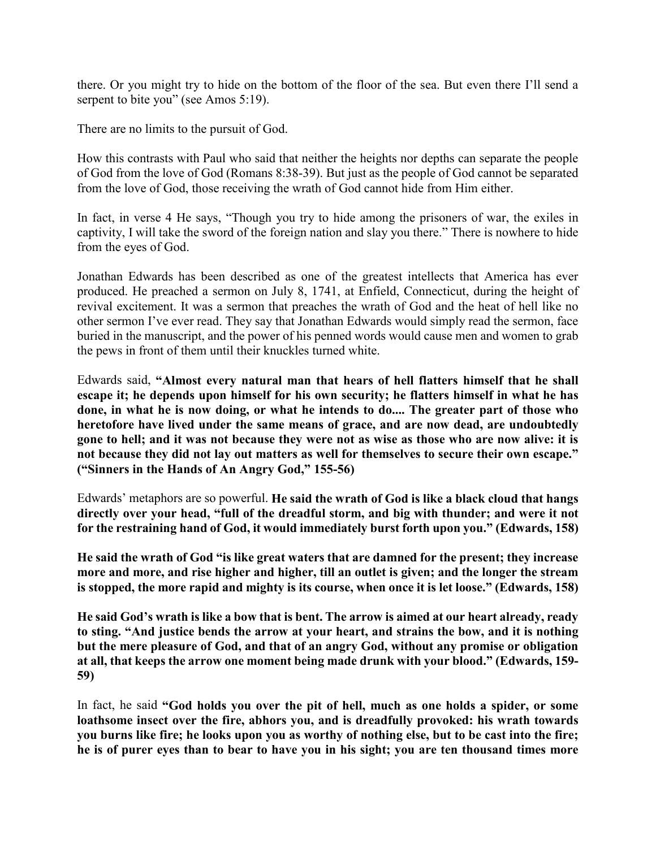there. Or you might try to hide on the bottom of the floor of the sea. But even there I'll send a serpent to bite you" (see Amos 5:19).

There are no limits to the pursuit of God.

How this contrasts with Paul who said that neither the heights nor depths can separate the people of God from the love of God (Romans 8:38-39). But just as the people of God cannot be separated from the love of God, those receiving the wrath of God cannot hide from Him either.

In fact, in verse 4 He says, "Though you try to hide among the prisoners of war, the exiles in captivity, I will take the sword of the foreign nation and slay you there." There is nowhere to hide from the eyes of God.

Jonathan Edwards has been described as one of the greatest intellects that America has ever produced. He preached a sermon on July 8, 1741, at Enfield, Connecticut, during the height of revival excitement. It was a sermon that preaches the wrath of God and the heat of hell like no other sermon I've ever read. They say that Jonathan Edwards would simply read the sermon, face buried in the manuscript, and the power of his penned words would cause men and women to grab the pews in front of them until their knuckles turned white.

Edwards said, **"Almost every natural man that hears of hell flatters himself that he shall escape it; he depends upon himself for his own security; he flatters himself in what he has done, in what he is now doing, or what he intends to do.... The greater part of those who heretofore have lived under the same means of grace, and are now dead, are undoubtedly gone to hell; and it was not because they were not as wise as those who are now alive: it is not because they did not lay out matters as well for themselves to secure their own escape." ("Sinners in the Hands of An Angry God," 155-56)**

Edwards' metaphors are so powerful. **He said the wrath of God is like a black cloud that hangs directly over your head, "full of the dreadful storm, and big with thunder; and were it not for the restraining hand of God, it would immediately burst forth upon you." (Edwards, 158)**

**He said the wrath of God "is like great waters that are damned for the present; they increase more and more, and rise higher and higher, till an outlet is given; and the longer the stream is stopped, the more rapid and mighty is its course, when once it is let loose." (Edwards, 158)**

**He said God's wrath is like a bow that is bent. The arrow is aimed at our heart already, ready to sting. "And justice bends the arrow at your heart, and strains the bow, and it is nothing but the mere pleasure of God, and that of an angry God, without any promise or obligation at all, that keeps the arrow one moment being made drunk with your blood." (Edwards, 159- 59)**

In fact, he said **"God holds you over the pit of hell, much as one holds a spider, or some loathsome insect over the fire, abhors you, and is dreadfully provoked: his wrath towards you burns like fire; he looks upon you as worthy of nothing else, but to be cast into the fire; he is of purer eyes than to bear to have you in his sight; you are ten thousand times more**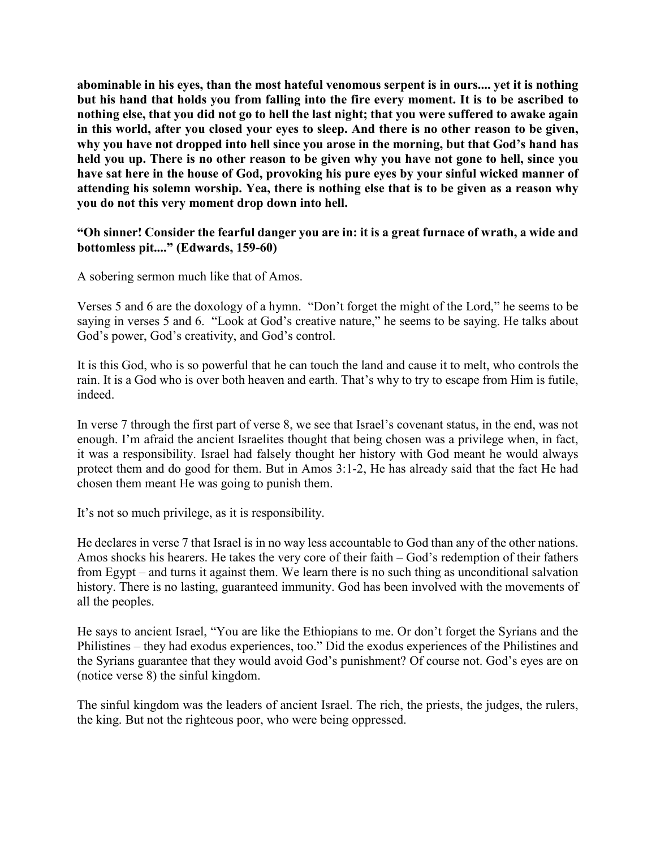**abominable in his eyes, than the most hateful venomous serpent is in ours.... yet it is nothing but his hand that holds you from falling into the fire every moment. It is to be ascribed to nothing else, that you did not go to hell the last night; that you were suffered to awake again in this world, after you closed your eyes to sleep. And there is no other reason to be given, why you have not dropped into hell since you arose in the morning, but that God's hand has held you up. There is no other reason to be given why you have not gone to hell, since you have sat here in the house of God, provoking his pure eyes by your sinful wicked manner of attending his solemn worship. Yea, there is nothing else that is to be given as a reason why you do not this very moment drop down into hell.**

### **"Oh sinner! Consider the fearful danger you are in: it is a great furnace of wrath, a wide and bottomless pit...." (Edwards, 159-60)**

A sobering sermon much like that of Amos.

Verses 5 and 6 are the doxology of a hymn. "Don't forget the might of the Lord," he seems to be saying in verses 5 and 6. "Look at God's creative nature," he seems to be saying. He talks about God's power, God's creativity, and God's control.

It is this God, who is so powerful that he can touch the land and cause it to melt, who controls the rain. It is a God who is over both heaven and earth. That's why to try to escape from Him is futile, indeed.

In verse 7 through the first part of verse 8, we see that Israel's covenant status, in the end, was not enough. I'm afraid the ancient Israelites thought that being chosen was a privilege when, in fact, it was a responsibility. Israel had falsely thought her history with God meant he would always protect them and do good for them. But in Amos 3:1-2, He has already said that the fact He had chosen them meant He was going to punish them.

It's not so much privilege, as it is responsibility.

He declares in verse 7 that Israel is in no way less accountable to God than any of the other nations. Amos shocks his hearers. He takes the very core of their faith – God's redemption of their fathers from Egypt – and turns it against them. We learn there is no such thing as unconditional salvation history. There is no lasting, guaranteed immunity. God has been involved with the movements of all the peoples.

He says to ancient Israel, "You are like the Ethiopians to me. Or don't forget the Syrians and the Philistines – they had exodus experiences, too." Did the exodus experiences of the Philistines and the Syrians guarantee that they would avoid God's punishment? Of course not. God's eyes are on (notice verse 8) the sinful kingdom.

The sinful kingdom was the leaders of ancient Israel. The rich, the priests, the judges, the rulers, the king. But not the righteous poor, who were being oppressed.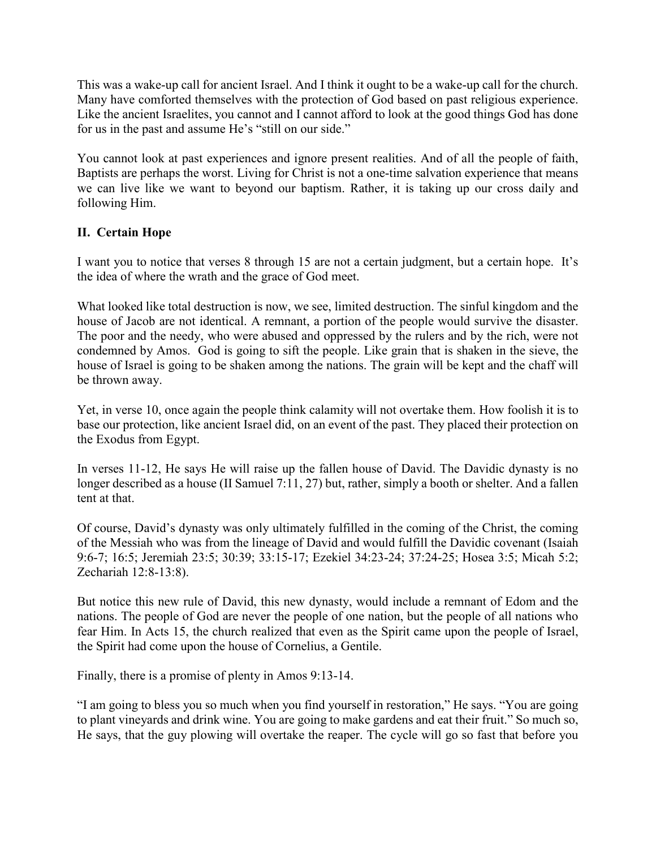This was a wake-up call for ancient Israel. And I think it ought to be a wake-up call for the church. Many have comforted themselves with the protection of God based on past religious experience. Like the ancient Israelites, you cannot and I cannot afford to look at the good things God has done for us in the past and assume He's "still on our side."

You cannot look at past experiences and ignore present realities. And of all the people of faith, Baptists are perhaps the worst. Living for Christ is not a one-time salvation experience that means we can live like we want to beyond our baptism. Rather, it is taking up our cross daily and following Him.

# **II. Certain Hope**

I want you to notice that verses 8 through 15 are not a certain judgment, but a certain hope. It's the idea of where the wrath and the grace of God meet.

What looked like total destruction is now, we see, limited destruction. The sinful kingdom and the house of Jacob are not identical. A remnant, a portion of the people would survive the disaster. The poor and the needy, who were abused and oppressed by the rulers and by the rich, were not condemned by Amos. God is going to sift the people. Like grain that is shaken in the sieve, the house of Israel is going to be shaken among the nations. The grain will be kept and the chaff will be thrown away.

Yet, in verse 10, once again the people think calamity will not overtake them. How foolish it is to base our protection, like ancient Israel did, on an event of the past. They placed their protection on the Exodus from Egypt.

In verses 11-12, He says He will raise up the fallen house of David. The Davidic dynasty is no longer described as a house (II Samuel 7:11, 27) but, rather, simply a booth or shelter. And a fallen tent at that.

Of course, David's dynasty was only ultimately fulfilled in the coming of the Christ, the coming of the Messiah who was from the lineage of David and would fulfill the Davidic covenant (Isaiah 9:6-7; 16:5; Jeremiah 23:5; 30:39; 33:15-17; Ezekiel 34:23-24; 37:24-25; Hosea 3:5; Micah 5:2; Zechariah 12:8-13:8).

But notice this new rule of David, this new dynasty, would include a remnant of Edom and the nations. The people of God are never the people of one nation, but the people of all nations who fear Him. In Acts 15, the church realized that even as the Spirit came upon the people of Israel, the Spirit had come upon the house of Cornelius, a Gentile.

Finally, there is a promise of plenty in Amos 9:13-14.

"I am going to bless you so much when you find yourself in restoration," He says. "You are going to plant vineyards and drink wine. You are going to make gardens and eat their fruit." So much so, He says, that the guy plowing will overtake the reaper. The cycle will go so fast that before you